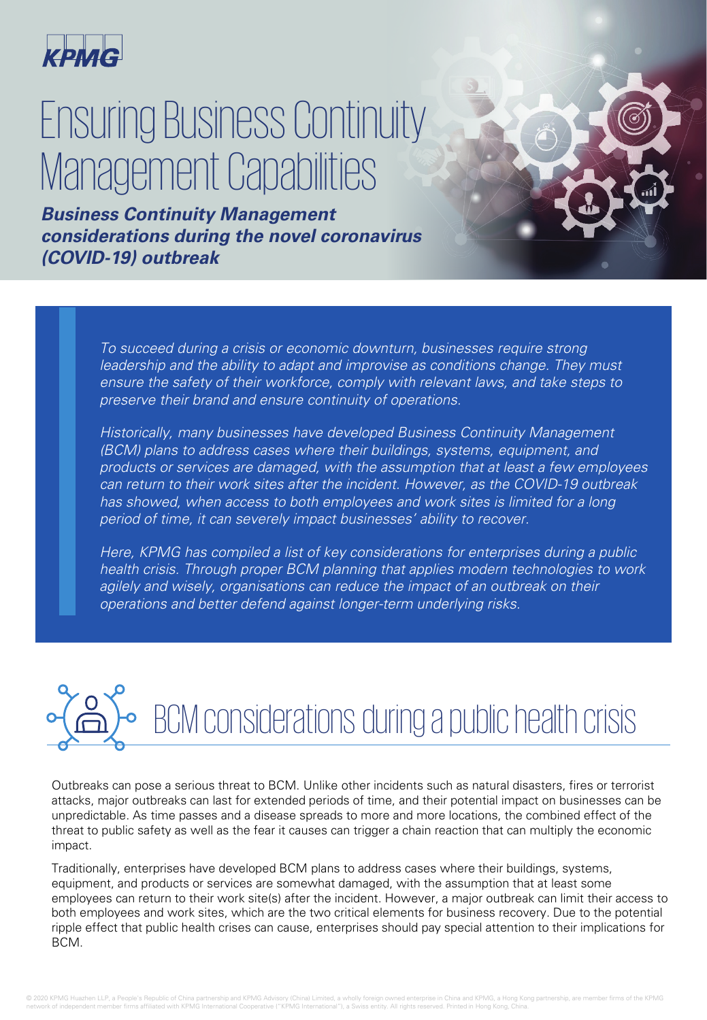

## Ensuring Business Continuity Management Capabilities

**Business Continuity Management considerations during the novel coronavirus (COVID-19) outbreak**

> To succeed during a crisis or economic downturn, businesses require strong leadership and the ability to adapt and improvise as conditions change. They must ensure the safety of their workforce, comply with relevant laws, and take steps to preserve their brand and ensure continuity of operations.

Historically, many businesses have developed Business Continuity Management (BCM) plans to address cases where their buildings, systems, equipment, and products or services are damaged, with the assumption that at least a few employees can return to their work sites after the incident. However, as the COVID-19 outbreak has showed, when access to both employees and work sites is limited for a long period of time, it can severely impact businesses' ability to recover.

Here, KPMG has compiled a list of key considerations for enterprises during a public health crisis. Through proper BCM planning that applies modern technologies to work agilely and wisely, organisations can reduce the impact of an outbreak on their operations and better defend against longer-term underlying risks.

BCM considerations during a public health crisis

Outbreaks can pose a serious threat to BCM. Unlike other incidents such as natural disasters, fires or terrorist attacks, major outbreaks can last for extended periods of time, and their potential impact on businesses can be unpredictable. As time passes and a disease spreads to more and more locations, the combined effect of the threat to public safety as well as the fear it causes can trigger a chain reaction that can multiply the economic impact.

Traditionally, enterprises have developed BCM plans to address cases where their buildings, systems, equipment, and products or services are somewhat damaged, with the assumption that at least some employees can return to their work site(s) after the incident. However, a major outbreak can limit their access to both employees and work sites, which are the two critical elements for business recovery. Due to the potential ripple effect that public health crises can cause, enterprises should pay special attention to their implications for BCM.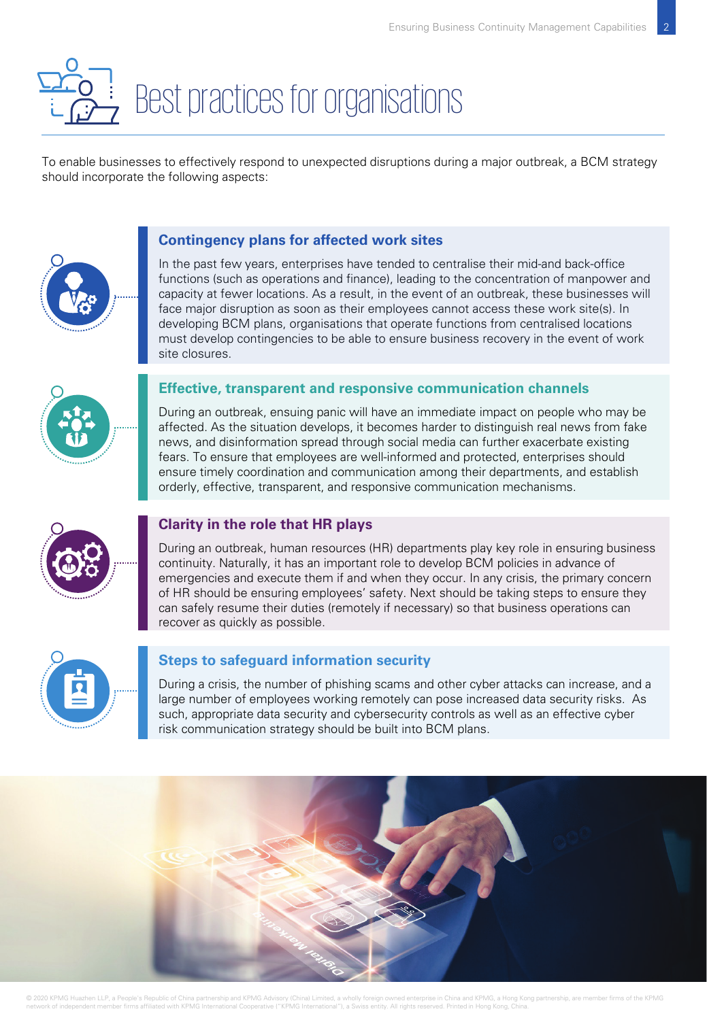# Best practices for organisations

To enable businesses to effectively respond to unexpected disruptions during a major outbreak, a BCM strategy should incorporate the following aspects:

### **Contingency plans for affected work sites**

In the past few years, enterprises have tended to centralise their mid-and back-office functions (such as operations and finance), leading to the concentration of manpower and capacity at fewer locations. As a result, in the event of an outbreak, these businesses will face major disruption as soon as their employees cannot access these work site(s). In developing BCM plans, organisations that operate functions from centralised locations must develop contingencies to be able to ensure business recovery in the event of work site closures.



#### **Effective, transparent and responsive communication channels**

During an outbreak, ensuing panic will have an immediate impact on people who may be affected. As the situation develops, it becomes harder to distinguish real news from fake news, and disinformation spread through social media can further exacerbate existing fears. To ensure that employees are well-informed and protected, enterprises should ensure timely coordination and communication among their departments, and establish orderly, effective, transparent, and responsive communication mechanisms.



### **Clarity in the role that HR plays**

During an outbreak, human resources (HR) departments play key role in ensuring business continuity. Naturally, it has an important role to develop BCM policies in advance of emergencies and execute them if and when they occur. In any crisis, the primary concern of HR should be ensuring employees' safety. Next should be taking steps to ensure they can safely resume their duties (remotely if necessary) so that business operations can recover as quickly as possible.



### **Steps to safeguard information security**

During a crisis, the number of phishing scams and other cyber attacks can increase, and a large number of employees working remotely can pose increased data security risks. As such, appropriate data security and cybersecurity controls as well as an effective cyber risk communication strategy should be built into BCM plans.



© 2020 KPMG Huazhen LLP, a Pe network of independent member firms affiliated with KPMG International Cooperative ("KPMG International"), a Swiss entity. All rights reserved. Printed in Hong Kong, China.